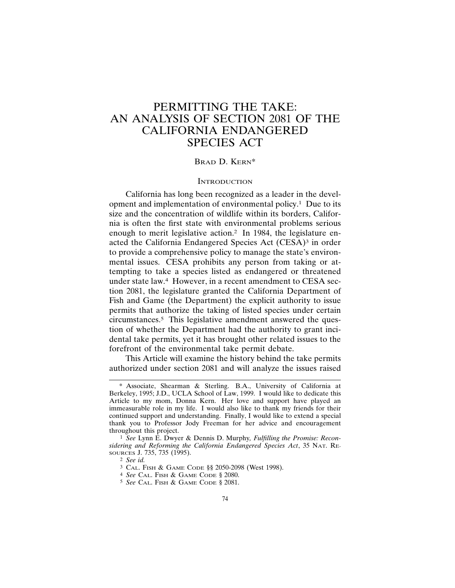# PERMITTING THE TAKE: AN ANALYSIS OF SECTION 2081 OF THE CALIFORNIA ENDANGERED SPECIES ACT

# BRAD D. KERN\*

#### **INTRODUCTION**

California has long been recognized as a leader in the development and implementation of environmental policy.1 Due to its size and the concentration of wildlife within its borders, California is often the first state with environmental problems serious enough to merit legislative action.<sup>2</sup> In 1984, the legislature enacted the California Endangered Species Act (CESA)3 in order to provide a comprehensive policy to manage the state's environmental issues. CESA prohibits any person from taking or attempting to take a species listed as endangered or threatened under state law.4 However, in a recent amendment to CESA section 2081, the legislature granted the California Department of Fish and Game (the Department) the explicit authority to issue permits that authorize the taking of listed species under certain circumstances.5 This legislative amendment answered the question of whether the Department had the authority to grant incidental take permits, yet it has brought other related issues to the forefront of the environmental take permit debate.

This Article will examine the history behind the take permits authorized under section 2081 and will analyze the issues raised

<sup>\*</sup> Associate, Shearman & Sterling. B.A., University of California at Berkeley, 1995; J.D., UCLA School of Law, 1999. I would like to dedicate this Article to my mom, Donna Kern. Her love and support have played an immeasurable role in my life. I would also like to thank my friends for their continued support and understanding. Finally, I would like to extend a special thank you to Professor Jody Freeman for her advice and encouragement throughout this project.

<sup>1</sup> *See* Lynn E. Dwyer & Dennis D. Murphy*, Fulfilling the Promise: Reconsidering and Reforming the California Endangered Species Act*, 35 NAT. RE-SOURCES J. 735, 735 (1995).

<sup>2</sup> *See id.*

<sup>3</sup> CAL. FISH & GAME CODE §§ 2050-2098 (West 1998).

<sup>4</sup> *See* CAL. FISH & GAME CODE § 2080.

<sup>5</sup> *See* CAL. FISH & GAME CODE § 2081.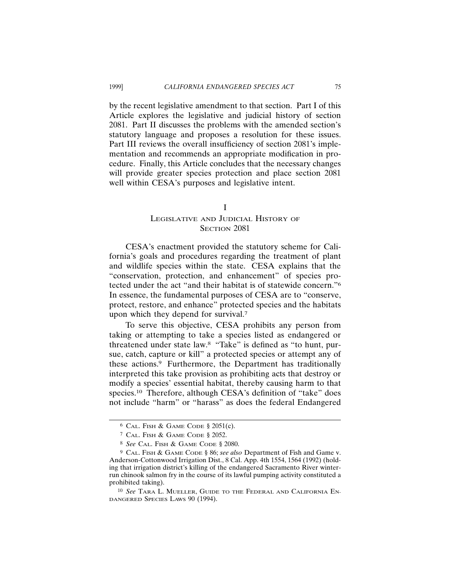by the recent legislative amendment to that section. Part I of this Article explores the legislative and judicial history of section 2081. Part II discusses the problems with the amended section's statutory language and proposes a resolution for these issues. Part III reviews the overall insufficiency of section 2081's implementation and recommends an appropriate modification in procedure. Finally, this Article concludes that the necessary changes will provide greater species protection and place section 2081 well within CESA's purposes and legislative intent.

# I

# LEGISLATIVE AND JUDICIAL HISTORY OF SECTION 2081

CESA's enactment provided the statutory scheme for California's goals and procedures regarding the treatment of plant and wildlife species within the state. CESA explains that the "conservation, protection, and enhancement" of species protected under the act "and their habitat is of statewide concern."6 In essence, the fundamental purposes of CESA are to "conserve, protect, restore, and enhance" protected species and the habitats upon which they depend for survival.7

To serve this objective, CESA prohibits any person from taking or attempting to take a species listed as endangered or threatened under state law.8 "Take" is defined as "to hunt, pursue, catch, capture or kill" a protected species or attempt any of these actions.9 Furthermore, the Department has traditionally interpreted this take provision as prohibiting acts that destroy or modify a species' essential habitat, thereby causing harm to that species.<sup>10</sup> Therefore, although CESA's definition of "take" does not include "harm" or "harass" as does the federal Endangered

 $6$  Cal. Fish & Game Code § 2051(c).

<sup>7</sup> CAL. FISH & GAME CODE § 2052.

<sup>8</sup> *See* CAL. FISH & GAME CODE § 2080.

<sup>9</sup> CAL. FISH & GAME CODE § 86; *see also* Department of Fish and Game v. Anderson-Cottonwood Irrigation Dist., 8 Cal. App. 4th 1554, 1564 (1992) (holding that irrigation district's killing of the endangered Sacramento River winterrun chinook salmon fry in the course of its lawful pumping activity constituted a prohibited taking).

<sup>10</sup> *See* TARA L. MUELLER, GUIDE TO THE FEDERAL AND CALIFORNIA EN-DANGERED SPECIES LAWS 90 (1994).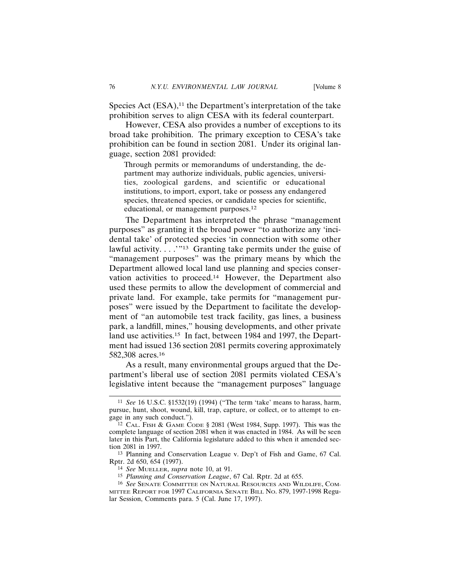Species Act  $(ESA)$ ,<sup>11</sup> the Department's interpretation of the take prohibition serves to align CESA with its federal counterpart.

However, CESA also provides a number of exceptions to its broad take prohibition. The primary exception to CESA's take prohibition can be found in section 2081. Under its original language, section 2081 provided:

Through permits or memorandums of understanding, the department may authorize individuals, public agencies, universities, zoological gardens, and scientific or educational institutions, to import, export, take or possess any endangered species, threatened species, or candidate species for scientific, educational, or management purposes.<sup>12</sup>

The Department has interpreted the phrase "management purposes" as granting it the broad power "to authorize any 'incidental take' of protected species 'in connection with some other lawful activity. . . . "<sup>13</sup> Granting take permits under the guise of "management purposes" was the primary means by which the Department allowed local land use planning and species conservation activities to proceed.14 However, the Department also used these permits to allow the development of commercial and private land. For example, take permits for "management purposes" were issued by the Department to facilitate the development of "an automobile test track facility, gas lines, a business park, a landfill, mines," housing developments, and other private land use activities.<sup>15</sup> In fact, between 1984 and 1997, the Department had issued 136 section 2081 permits covering approximately 582,308 acres.16

As a result, many environmental groups argued that the Department's liberal use of section 2081 permits violated CESA's legislative intent because the "management purposes" language

<sup>11</sup> *See* 16 U.S.C. §1532(19) (1994) ("The term 'take' means to harass, harm, pursue, hunt, shoot, wound, kill, trap, capture, or collect, or to attempt to engage in any such conduct.").

 $12$  CAL. FISH & GAME CODE § 2081 (West 1984, Supp. 1997). This was the complete language of section 2081 when it was enacted in 1984. As will be seen later in this Part, the California legislature added to this when it amended section 2081 in 1997.

<sup>13</sup> Planning and Conservation League v. Dep't of Fish and Game, 67 Cal. Rptr. 2d 650, 654 (1997).

<sup>14</sup> *See* MUELLER, *supra* note 10, at 91.

<sup>15</sup> *Planning and Conservation League*, 67 Cal. Rptr. 2d at 655.

<sup>16</sup> *See* SENATE COMMITTEE ON NATURAL RESOURCES AND WILDLIFE, COM-MITTEE REPORT FOR 1997 CALIFORNIA SENATE BILL NO. 879, 1997-1998 Regular Session, Comments para. 5 (Cal. June 17, 1997).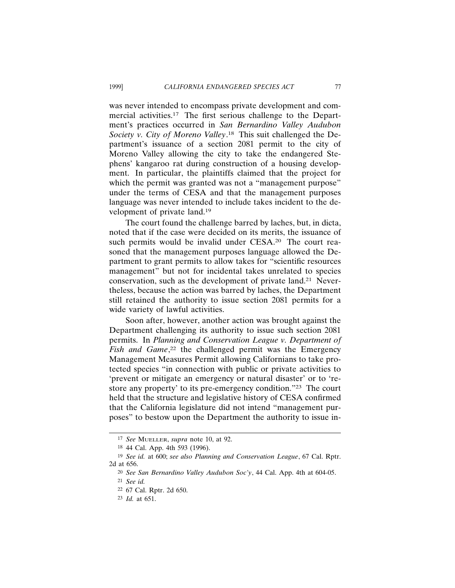was never intended to encompass private development and commercial activities.17 The first serious challenge to the Department's practices occurred in *San Bernardino Valley Audubon Society v. City of Moreno Valley*. 18 This suit challenged the Department's issuance of a section 2081 permit to the city of Moreno Valley allowing the city to take the endangered Stephens' kangaroo rat during construction of a housing development. In particular, the plaintiffs claimed that the project for which the permit was granted was not a "management purpose" under the terms of CESA and that the management purposes language was never intended to include takes incident to the development of private land.19

The court found the challenge barred by laches, but, in dicta, noted that if the case were decided on its merits, the issuance of such permits would be invalid under CESA.<sup>20</sup> The court reasoned that the management purposes language allowed the Department to grant permits to allow takes for "scientific resources management" but not for incidental takes unrelated to species conservation, such as the development of private land.21 Nevertheless, because the action was barred by laches, the Department still retained the authority to issue section 2081 permits for a wide variety of lawful activities.

Soon after, however, another action was brought against the Department challenging its authority to issue such section 2081 permits. In *Planning and Conservation League v. Department of Fish and Game*, 22 the challenged permit was the Emergency Management Measures Permit allowing Californians to take protected species "in connection with public or private activities to 'prevent or mitigate an emergency or natural disaster' or to 'restore any property' to its pre-emergency condition."23 The court held that the structure and legislative history of CESA confirmed that the California legislature did not intend "management purposes" to bestow upon the Department the authority to issue in-

<sup>17</sup> *See* MUELLER, *supra* note 10, at 92.

<sup>18</sup> 44 Cal. App. 4th 593 (1996).

<sup>19</sup> *See id.* at 600; *see also Planning and Conservation League*, 67 Cal. Rptr. 2d at 656.

<sup>20</sup> *See San Bernardino Valley Audubon Soc'y*, 44 Cal. App. 4th at 604-05.

<sup>21</sup> *See id.*

<sup>22</sup> 67 Cal. Rptr. 2d 650.

<sup>23</sup> *Id.* at 651.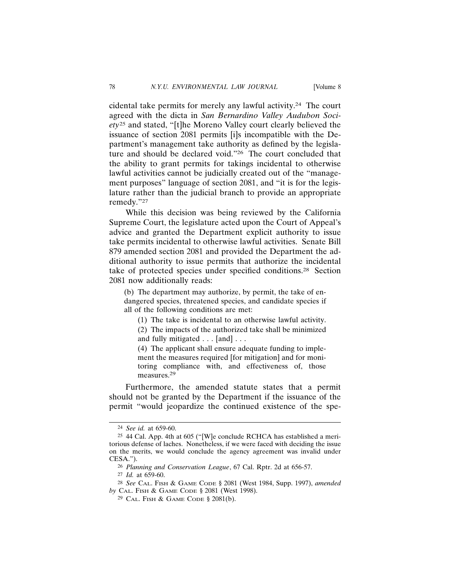cidental take permits for merely any lawful activity.24 The court agreed with the dicta in *San Bernardino Valley Audubon Society*25 and stated, "[t]he Moreno Valley court clearly believed the issuance of section 2081 permits [i]s incompatible with the Department's management take authority as defined by the legislature and should be declared void."26 The court concluded that the ability to grant permits for takings incidental to otherwise lawful activities cannot be judicially created out of the "management purposes" language of section 2081, and "it is for the legislature rather than the judicial branch to provide an appropriate remedy."27

While this decision was being reviewed by the California Supreme Court, the legislature acted upon the Court of Appeal's advice and granted the Department explicit authority to issue take permits incidental to otherwise lawful activities. Senate Bill 879 amended section 2081 and provided the Department the additional authority to issue permits that authorize the incidental take of protected species under specified conditions.28 Section 2081 now additionally reads:

(b) The department may authorize, by permit, the take of endangered species, threatened species, and candidate species if all of the following conditions are met:

(1) The take is incidental to an otherwise lawful activity.

(2) The impacts of the authorized take shall be minimized and fully mitigated . . . [and] . . .

(4) The applicant shall ensure adequate funding to implement the measures required [for mitigation] and for monitoring compliance with, and effectiveness of, those measures<sup>29</sup>

Furthermore, the amended statute states that a permit should not be granted by the Department if the issuance of the permit "would jeopardize the continued existence of the spe-

<sup>24</sup> *See id.* at 659-60.

<sup>25</sup> 44 Cal. App. 4th at 605 ("[W]e conclude RCHCA has established a meritorious defense of laches. Nonetheless, if we were faced with deciding the issue on the merits, we would conclude the agency agreement was invalid under CESA.").

<sup>26</sup> *Planning and Conservation League*, 67 Cal. Rptr. 2d at 656-57.

<sup>27</sup> *Id.* at 659-60.

<sup>28</sup> *See* CAL. FISH & GAME CODE § 2081 (West 1984, Supp. 1997), *amended by* CAL. FISH & GAME CODE § 2081 (West 1998).

<sup>29</sup> CAL. FISH & GAME CODE § 2081(b).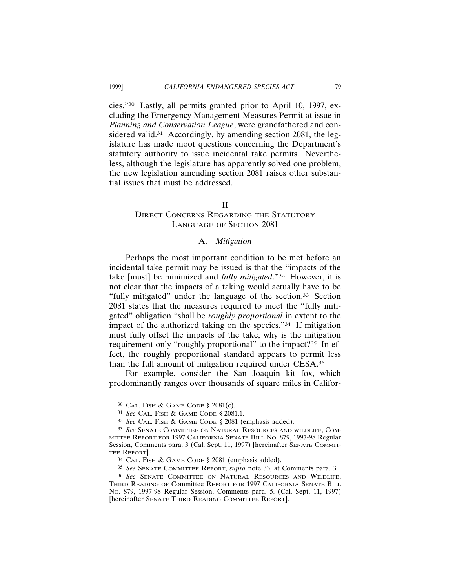cies."30 Lastly, all permits granted prior to April 10, 1997, excluding the Emergency Management Measures Permit at issue in *Planning and Conservation League*, were grandfathered and considered valid.<sup>31</sup> Accordingly, by amending section 2081, the legislature has made moot questions concerning the Department's statutory authority to issue incidental take permits. Nevertheless, although the legislature has apparently solved one problem, the new legislation amending section 2081 raises other substantial issues that must be addressed.

# II

# DIRECT CONCERNS REGARDING THE STATUTORY LANGUAGE OF SECTION 2081

# A. *Mitigation*

Perhaps the most important condition to be met before an incidental take permit may be issued is that the "impacts of the take [must] be minimized and *fully mitigated*."32 However, it is not clear that the impacts of a taking would actually have to be "fully mitigated" under the language of the section.<sup>33</sup> Section 2081 states that the measures required to meet the "fully mitigated" obligation "shall be *roughly proportional* in extent to the impact of the authorized taking on the species."34 If mitigation must fully offset the impacts of the take, why is the mitigation requirement only "roughly proportional" to the impact?<sup>35</sup> In effect, the roughly proportional standard appears to permit less than the full amount of mitigation required under CESA.36

For example, consider the San Joaquin kit fox, which predominantly ranges over thousands of square miles in Califor-

<sup>30</sup> CAL. FISH & GAME CODE § 2081(c).

<sup>31</sup> *See* CAL. FISH & GAME CODE § 2081.1.

<sup>32</sup> *See* CAL. FISH & GAME CODE § 2081 (emphasis added).

<sup>33</sup> *See* SENATE COMMITTEE ON NATURAL RESOURCES AND WILDLIFE, COM-MITTEE REPORT FOR 1997 CALIFORNIA SENATE BILL NO. 879, 1997-98 Regular Session, Comments para. 3 (Cal. Sept. 11, 1997) [hereinafter SENATE COMMIT-TEE REPORT].

<sup>34</sup> CAL. FISH & GAME CODE § 2081 (emphasis added).

<sup>35</sup> *See* SENATE COMMITTEE REPORT, *supra* note 33, at Comments para. 3.

<sup>36</sup> *See* SENATE COMMITTEE ON NATURAL RESOURCES AND WILDLIFE, THIRD READING OF Committee REPORT FOR 1997 CALIFORNIA SENATE BILL NO. 879, 1997-98 Regular Session, Comments para. 5. (Cal. Sept. 11, 1997) [hereinafter SENATE THIRD READING COMMITTEE REPORT].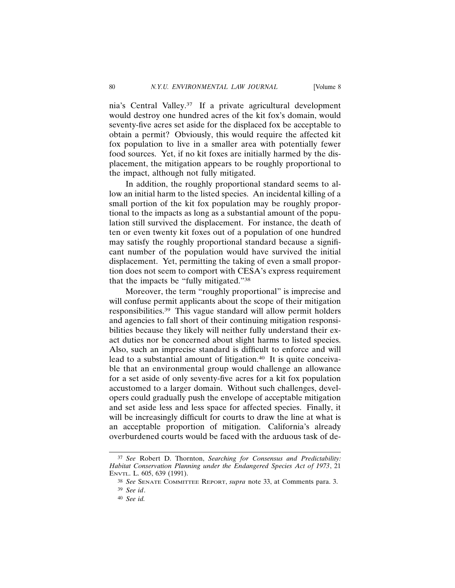nia's Central Valley.37 If a private agricultural development would destroy one hundred acres of the kit fox's domain, would seventy-five acres set aside for the displaced fox be acceptable to obtain a permit? Obviously, this would require the affected kit fox population to live in a smaller area with potentially fewer food sources. Yet, if no kit foxes are initially harmed by the displacement, the mitigation appears to be roughly proportional to the impact, although not fully mitigated.

In addition, the roughly proportional standard seems to allow an initial harm to the listed species. An incidental killing of a small portion of the kit fox population may be roughly proportional to the impacts as long as a substantial amount of the population still survived the displacement. For instance, the death of ten or even twenty kit foxes out of a population of one hundred may satisfy the roughly proportional standard because a significant number of the population would have survived the initial displacement. Yet, permitting the taking of even a small proportion does not seem to comport with CESA's express requirement that the impacts be "fully mitigated."38

Moreover, the term "roughly proportional" is imprecise and will confuse permit applicants about the scope of their mitigation responsibilities.39 This vague standard will allow permit holders and agencies to fall short of their continuing mitigation responsibilities because they likely will neither fully understand their exact duties nor be concerned about slight harms to listed species. Also, such an imprecise standard is difficult to enforce and will lead to a substantial amount of litigation.<sup>40</sup> It is quite conceivable that an environmental group would challenge an allowance for a set aside of only seventy-five acres for a kit fox population accustomed to a larger domain. Without such challenges, developers could gradually push the envelope of acceptable mitigation and set aside less and less space for affected species. Finally, it will be increasingly difficult for courts to draw the line at what is an acceptable proportion of mitigation. California's already overburdened courts would be faced with the arduous task of de-

<sup>37</sup> *See* Robert D. Thornton, *Searching for Consensus and Predictability: Habitat Conservation Planning under the Endangered Species Act of 1973*, 21 ENVTL. L. 605, 639 (1991).

<sup>38</sup> *See* SENATE COMMITTEE REPORT, *supra* note 33, at Comments para. 3. 39 *See id*.

<sup>40</sup> *See id.*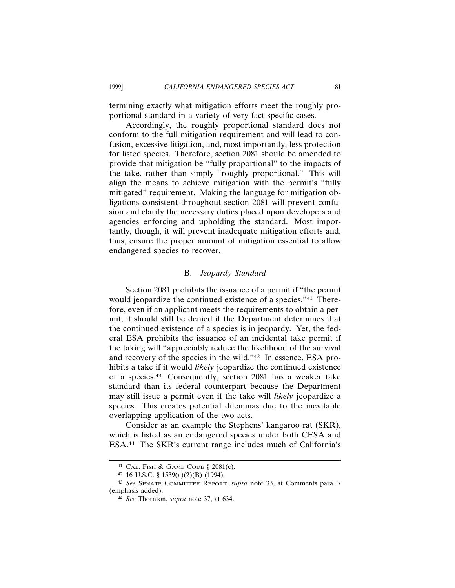termining exactly what mitigation efforts meet the roughly proportional standard in a variety of very fact specific cases.

Accordingly, the roughly proportional standard does not conform to the full mitigation requirement and will lead to confusion, excessive litigation, and, most importantly, less protection for listed species. Therefore, section 2081 should be amended to provide that mitigation be "fully proportional" to the impacts of the take, rather than simply "roughly proportional." This will align the means to achieve mitigation with the permit's "fully mitigated" requirement. Making the language for mitigation obligations consistent throughout section 2081 will prevent confusion and clarify the necessary duties placed upon developers and agencies enforcing and upholding the standard. Most importantly, though, it will prevent inadequate mitigation efforts and, thus, ensure the proper amount of mitigation essential to allow endangered species to recover.

#### B. *Jeopardy Standard*

Section 2081 prohibits the issuance of a permit if "the permit would jeopardize the continued existence of a species."41 Therefore, even if an applicant meets the requirements to obtain a permit, it should still be denied if the Department determines that the continued existence of a species is in jeopardy. Yet, the federal ESA prohibits the issuance of an incidental take permit if the taking will "appreciably reduce the likelihood of the survival and recovery of the species in the wild."42 In essence, ESA prohibits a take if it would *likely* jeopardize the continued existence of a species.43 Consequently, section 2081 has a weaker take standard than its federal counterpart because the Department may still issue a permit even if the take will *likely* jeopardize a species. This creates potential dilemmas due to the inevitable overlapping application of the two acts.

Consider as an example the Stephens' kangaroo rat (SKR), which is listed as an endangered species under both CESA and ESA.44 The SKR's current range includes much of California's

<sup>41</sup> CAL. FISH & GAME CODE § 2081(c).

<sup>42</sup> 16 U.S.C. § 1539(a)(2)(B) (1994).

<sup>43</sup> *See* SENATE COMMITTEE REPORT, *supra* note 33, at Comments para. 7 (emphasis added).

<sup>44</sup> *See* Thornton, *supra* note 37, at 634.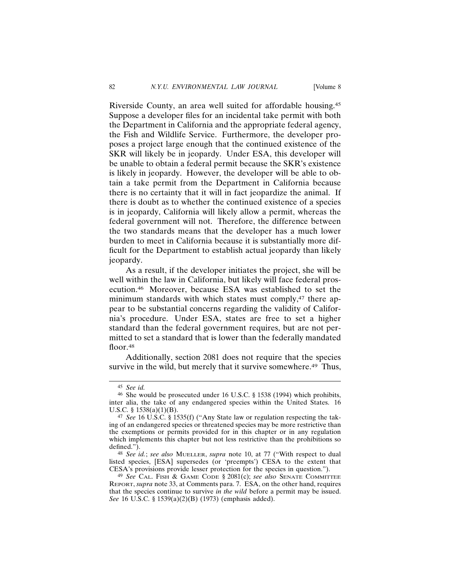Riverside County, an area well suited for affordable housing.45 Suppose a developer files for an incidental take permit with both the Department in California and the appropriate federal agency, the Fish and Wildlife Service. Furthermore, the developer proposes a project large enough that the continued existence of the SKR will likely be in jeopardy. Under ESA, this developer will be unable to obtain a federal permit because the SKR's existence is likely in jeopardy. However, the developer will be able to obtain a take permit from the Department in California because there is no certainty that it will in fact jeopardize the animal. If there is doubt as to whether the continued existence of a species is in jeopardy, California will likely allow a permit, whereas the federal government will not. Therefore, the difference between the two standards means that the developer has a much lower burden to meet in California because it is substantially more difficult for the Department to establish actual jeopardy than likely jeopardy.

As a result, if the developer initiates the project, she will be well within the law in California, but likely will face federal prosecution.46 Moreover, because ESA was established to set the minimum standards with which states must comply,<sup>47</sup> there appear to be substantial concerns regarding the validity of California's procedure. Under ESA, states are free to set a higher standard than the federal government requires, but are not permitted to set a standard that is lower than the federally mandated floor.<sup>48</sup>

Additionally, section 2081 does not require that the species survive in the wild, but merely that it survive somewhere.<sup>49</sup> Thus,

<sup>45</sup> *See id.*

<sup>46</sup> She would be prosecuted under 16 U.S.C. § 1538 (1994) which prohibits, inter alia, the take of any endangered species within the United States. 16 U.S.C. § 1538(a)(1)(B).

<sup>47</sup> *See* 16 U.S.C. § 1535(f) ("Any State law or regulation respecting the taking of an endangered species or threatened species may be more restrictive than the exemptions or permits provided for in this chapter or in any regulation which implements this chapter but not less restrictive than the prohibitions so defined.").

<sup>48</sup> *See id.*; *see also* MUELLER, *supra* note 10, at 77 ("With respect to dual listed species, [ESA] supersedes (or 'preempts') CESA to the extent that CESA's provisions provide lesser protection for the species in question.").

<sup>49</sup> *See* CAL. FISH & GAME CODE § 2081(c); *see also* SENATE COMMITTEE REPORT, *supra* note 33, at Comments para. 7. ESA, on the other hand, requires that the species continue to survive *in the wild* before a permit may be issued. *See* 16 U.S.C. § 1539(a)(2)(B) (1973) (emphasis added).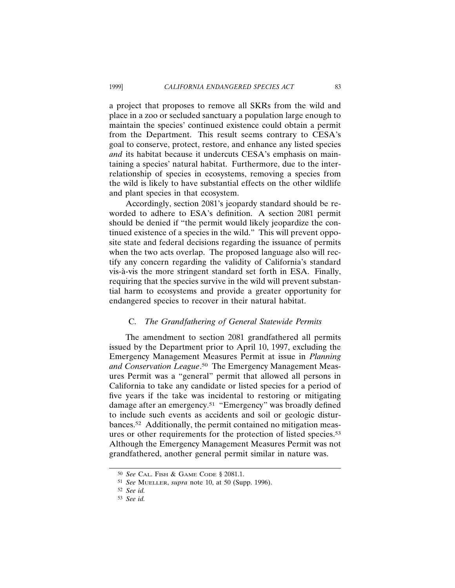a project that proposes to remove all SKRs from the wild and place in a zoo or secluded sanctuary a population large enough to maintain the species' continued existence could obtain a permit from the Department. This result seems contrary to CESA's goal to conserve, protect, restore, and enhance any listed species *and* its habitat because it undercuts CESA's emphasis on maintaining a species' natural habitat. Furthermore, due to the interrelationship of species in ecosystems, removing a species from the wild is likely to have substantial effects on the other wildlife and plant species in that ecosystem.

Accordingly, section 2081's jeopardy standard should be reworded to adhere to ESA's definition. A section 2081 permit should be denied if "the permit would likely jeopardize the continued existence of a species in the wild." This will prevent opposite state and federal decisions regarding the issuance of permits when the two acts overlap. The proposed language also will rectify any concern regarding the validity of California's standard vis-à-vis the more stringent standard set forth in ESA. Finally, requiring that the species survive in the wild will prevent substantial harm to ecosystems and provide a greater opportunity for endangered species to recover in their natural habitat.

#### C. *The Grandfathering of General Statewide Permits*

The amendment to section 2081 grandfathered all permits issued by the Department prior to April 10, 1997, excluding the Emergency Management Measures Permit at issue in *Planning and Conservation League*. 50 The Emergency Management Measures Permit was a "general" permit that allowed all persons in California to take any candidate or listed species for a period of five years if the take was incidental to restoring or mitigating damage after an emergency.51 "Emergency" was broadly defined to include such events as accidents and soil or geologic disturbances.<sup>52</sup> Additionally, the permit contained no mitigation measures or other requirements for the protection of listed species.53 Although the Emergency Management Measures Permit was not grandfathered, another general permit similar in nature was.

<sup>50</sup> *See* CAL. FISH & GAME CODE § 2081.1.

<sup>51</sup> *See* MUELLER, *supra* note 10, at 50 (Supp. 1996).

<sup>52</sup> *See id.*

<sup>53</sup> *See id.*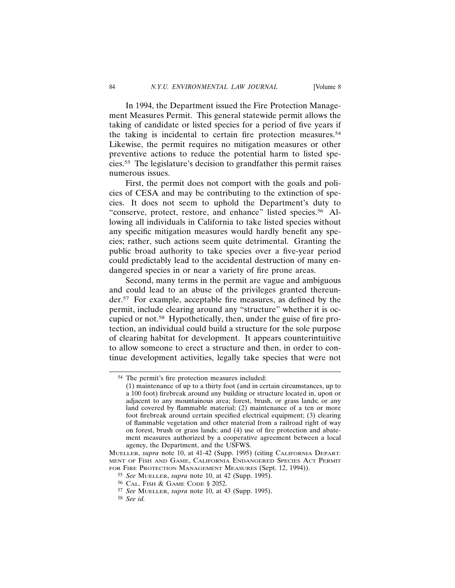In 1994, the Department issued the Fire Protection Management Measures Permit. This general statewide permit allows the taking of candidate or listed species for a period of five years if the taking is incidental to certain fire protection measures.<sup>54</sup> Likewise, the permit requires no mitigation measures or other preventive actions to reduce the potential harm to listed species.55 The legislature's decision to grandfather this permit raises numerous issues.

First, the permit does not comport with the goals and policies of CESA and may be contributing to the extinction of species. It does not seem to uphold the Department's duty to "conserve, protect, restore, and enhance" listed species.56 Allowing all individuals in California to take listed species without any specific mitigation measures would hardly benefit any species; rather, such actions seem quite detrimental. Granting the public broad authority to take species over a five-year period could predictably lead to the accidental destruction of many endangered species in or near a variety of fire prone areas.

Second, many terms in the permit are vague and ambiguous and could lead to an abuse of the privileges granted thereunder.57 For example, acceptable fire measures, as defined by the permit, include clearing around any "structure" whether it is occupied or not.58 Hypothetically, then, under the guise of fire protection, an individual could build a structure for the sole purpose of clearing habitat for development. It appears counterintuitive to allow someone to erect a structure and then, in order to continue development activities, legally take species that were not

<sup>54</sup> The permit's fire protection measures included:

<sup>(1)</sup> maintenance of up to a thirty foot (and in certain circumstances, up to a 100 foot) firebreak around any building or structure located in, upon or adjacent to any mountainous area; forest, brush, or grass lands; or any land covered by flammable material; (2) maintenance of a ten or more foot firebreak around certain specified electrical equipment; (3) clearing of flammable vegetation and other material from a railroad right of way on forest, brush or grass lands; and (4) use of fire protection and abatement measures authorized by a cooperative agreement between a local agency, the Department, and the USFWS.

MUELLER, *supra* note 10, at 41-42 (Supp. 1995) (citing CALIFORNIA DEPART-MENT OF FISH AND GAME, CALIFORNIA ENDANGERED SPECIES ACT PERMIT FOR FIRE PROTECTION MANAGEMENT MEASURES (Sept. 12, 1994)).

<sup>55</sup> *See* MUELLER, *supra* note 10, at 42 (Supp. 1995).

<sup>56</sup> CAL. FISH & GAME CODE § 2052.

<sup>57</sup> *See* MUELLER, *supra* note 10, at 43 (Supp. 1995).

<sup>58</sup> *See id.*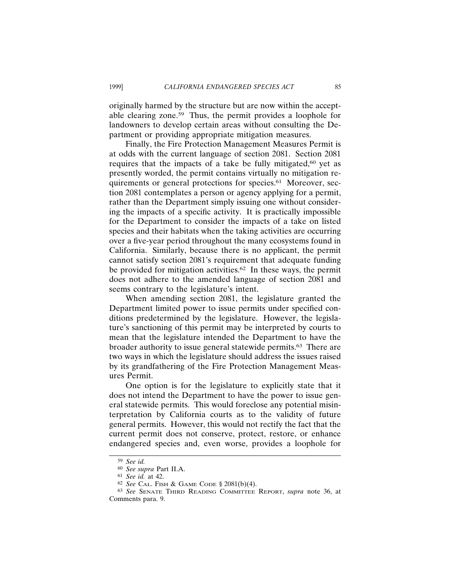originally harmed by the structure but are now within the acceptable clearing zone.59 Thus, the permit provides a loophole for landowners to develop certain areas without consulting the Department or providing appropriate mitigation measures.

Finally, the Fire Protection Management Measures Permit is at odds with the current language of section 2081. Section 2081 requires that the impacts of a take be fully mitigated,<sup>60</sup> yet as presently worded, the permit contains virtually no mitigation requirements or general protections for species.61 Moreover, section 2081 contemplates a person or agency applying for a permit, rather than the Department simply issuing one without considering the impacts of a specific activity. It is practically impossible for the Department to consider the impacts of a take on listed species and their habitats when the taking activities are occurring over a five-year period throughout the many ecosystems found in California. Similarly, because there is no applicant, the permit cannot satisfy section 2081's requirement that adequate funding be provided for mitigation activities.<sup>62</sup> In these ways, the permit does not adhere to the amended language of section 2081 and seems contrary to the legislature's intent.

When amending section 2081, the legislature granted the Department limited power to issue permits under specified conditions predetermined by the legislature. However, the legislature's sanctioning of this permit may be interpreted by courts to mean that the legislature intended the Department to have the broader authority to issue general statewide permits.<sup>63</sup> There are two ways in which the legislature should address the issues raised by its grandfathering of the Fire Protection Management Measures Permit.

One option is for the legislature to explicitly state that it does not intend the Department to have the power to issue general statewide permits. This would foreclose any potential misinterpretation by California courts as to the validity of future general permits. However, this would not rectify the fact that the current permit does not conserve, protect, restore, or enhance endangered species and, even worse, provides a loophole for

<sup>59</sup> *See id.*

<sup>60</sup> *See supra* Part II.A.

<sup>61</sup> *See id.* at 42.

<sup>62</sup> *See* CAL. FISH & GAME CODE § 2081(b)(4).

<sup>63</sup> *See* SENATE THIRD READING COMMITTEE REPORT, *supra* note 36, at Comments para. 9.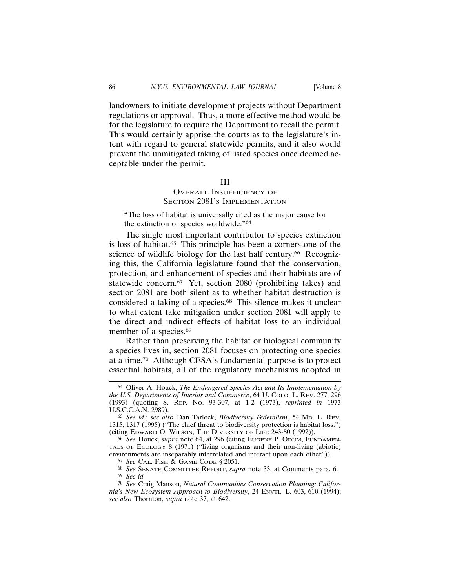landowners to initiate development projects without Department regulations or approval. Thus, a more effective method would be for the legislature to require the Department to recall the permit. This would certainly apprise the courts as to the legislature's intent with regard to general statewide permits, and it also would prevent the unmitigated taking of listed species once deemed acceptable under the permit.

### III

# OVERALL INSUFFICIENCY OF SECTION 2081'S IMPLEMENTATION

"The loss of habitat is universally cited as the major cause for the extinction of species worldwide."64

The single most important contributor to species extinction is loss of habitat.65 This principle has been a cornerstone of the science of wildlife biology for the last half century.<sup>66</sup> Recognizing this, the California legislature found that the conservation, protection, and enhancement of species and their habitats are of statewide concern.<sup>67</sup> Yet, section 2080 (prohibiting takes) and section 2081 are both silent as to whether habitat destruction is considered a taking of a species.<sup>68</sup> This silence makes it unclear to what extent take mitigation under section 2081 will apply to the direct and indirect effects of habitat loss to an individual member of a species.<sup>69</sup>

Rather than preserving the habitat or biological community a species lives in, section 2081 focuses on protecting one species at a time.70 Although CESA's fundamental purpose is to protect essential habitats, all of the regulatory mechanisms adopted in

<sup>64</sup> Oliver A. Houck, *The Endangered Species Act and Its Implementation by the U.S. Departments of Interior and Commerce*, 64 U. COLO. L. REV. 277, 296 (1993) (quoting S. REP. NO. 93-307, at 1-2 (1973), *reprinted in* 1973 U.S.C.C.A.N. 2989).

<sup>65</sup> *See id.*; *see also* Dan Tarlock, *Biodiversity Federalism*, 54 MD. L. REV. 1315, 1317 (1995) ("The chief threat to biodiversity protection is habitat loss.") (citing EDWARD O. WILSON, THE DIVERSITY OF LIFE 243-80 (1992)).

<sup>66</sup> *See* Houck, *supra* note 64, at 296 (citing EUGENE P. ODUM, FUNDAMEN-TALS OF ECOLOGY 8 (1971) ("living organisms and their non-living (abiotic) environments are inseparably interrelated and interact upon each other")).

<sup>67</sup> *See* CAL. FISH & GAME CODE § 2051.

<sup>68</sup> *See* SENATE COMMITTEE REPORT, *supra* note 33, at Comments para. 6. 69 *See id.*

<sup>70</sup> *See* Craig Manson, *Natural Communities Conservation Planning: California's New Ecosystem Approach to Biodiversity*, 24 ENVTL. L. 603, 610 (1994); *see also* Thornton, *supra* note 37, at 642.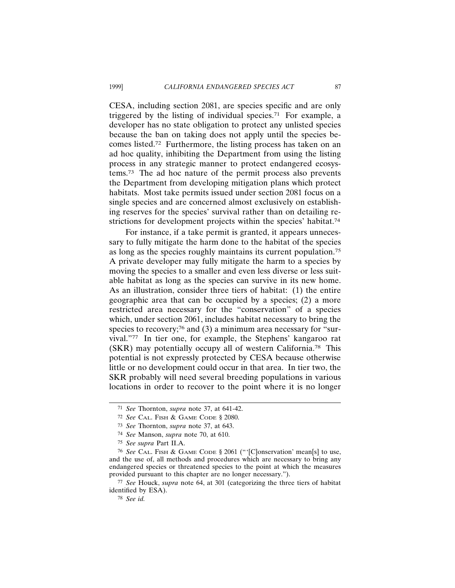CESA, including section 2081, are species specific and are only triggered by the listing of individual species.<sup>71</sup> For example, a developer has no state obligation to protect any unlisted species because the ban on taking does not apply until the species becomes listed.72 Furthermore, the listing process has taken on an ad hoc quality, inhibiting the Department from using the listing process in any strategic manner to protect endangered ecosystems.73 The ad hoc nature of the permit process also prevents the Department from developing mitigation plans which protect habitats. Most take permits issued under section 2081 focus on a single species and are concerned almost exclusively on establishing reserves for the species' survival rather than on detailing restrictions for development projects within the species' habitat.<sup>74</sup>

For instance, if a take permit is granted, it appears unnecessary to fully mitigate the harm done to the habitat of the species as long as the species roughly maintains its current population.75 A private developer may fully mitigate the harm to a species by moving the species to a smaller and even less diverse or less suitable habitat as long as the species can survive in its new home. As an illustration, consider three tiers of habitat: (1) the entire geographic area that can be occupied by a species; (2) a more restricted area necessary for the "conservation" of a species which, under section 2061, includes habitat necessary to bring the species to recovery;<sup>76</sup> and (3) a minimum area necessary for "survival."77 In tier one, for example, the Stephens' kangaroo rat (SKR) may potentially occupy all of western California.78 This potential is not expressly protected by CESA because otherwise little or no development could occur in that area. In tier two, the SKR probably will need several breeding populations in various locations in order to recover to the point where it is no longer

77 *See* Houck, *supra* note 64, at 301 (categorizing the three tiers of habitat identified by ESA).

78 *See id.*

<sup>71</sup> *See* Thornton, *supra* note 37, at 641-42.

<sup>72</sup> *See* CAL. FISH & GAME CODE § 2080.

<sup>73</sup> *See* Thornton, *supra* note 37, at 643.

<sup>74</sup> *See* Manson, *supra* note 70, at 610.

<sup>75</sup> *See supra* Part II.A.

<sup>76</sup> *See* CAL. FISH & GAME CODE § 2061 ("'[C]onservation' mean[s] to use, and the use of, all methods and procedures which are necessary to bring any endangered species or threatened species to the point at which the measures provided pursuant to this chapter are no longer necessary.").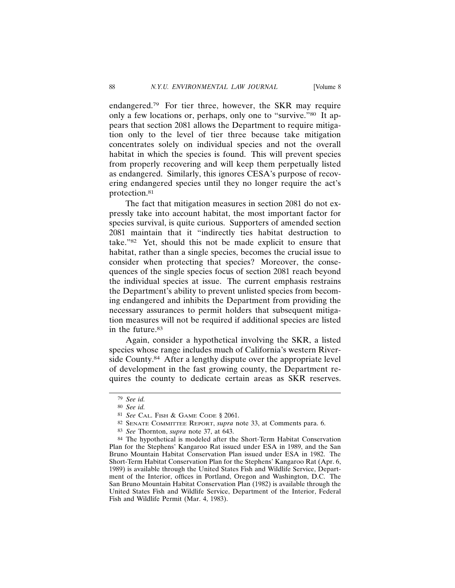endangered.79 For tier three, however, the SKR may require only a few locations or, perhaps, only one to "survive."80 It appears that section 2081 allows the Department to require mitigation only to the level of tier three because take mitigation concentrates solely on individual species and not the overall habitat in which the species is found. This will prevent species from properly recovering and will keep them perpetually listed as endangered. Similarly, this ignores CESA's purpose of recovering endangered species until they no longer require the act's protection.81

The fact that mitigation measures in section 2081 do not expressly take into account habitat, the most important factor for species survival, is quite curious. Supporters of amended section 2081 maintain that it "indirectly ties habitat destruction to take."82 Yet, should this not be made explicit to ensure that habitat, rather than a single species, becomes the crucial issue to consider when protecting that species? Moreover, the consequences of the single species focus of section 2081 reach beyond the individual species at issue. The current emphasis restrains the Department's ability to prevent unlisted species from becoming endangered and inhibits the Department from providing the necessary assurances to permit holders that subsequent mitigation measures will not be required if additional species are listed in the future.83

Again, consider a hypothetical involving the SKR, a listed species whose range includes much of California's western Riverside County.<sup>84</sup> After a lengthy dispute over the appropriate level of development in the fast growing county, the Department requires the county to dedicate certain areas as SKR reserves.

<sup>79</sup> *See id.*

<sup>80</sup> *See id.*

<sup>81</sup> *See* CAL. FISH & GAME CODE § 2061.

<sup>82</sup> SENATE COMMITTEE REPORT, *supra* note 33, at Comments para. 6.

<sup>83</sup> *See* Thornton, *supra* note 37, at 643.

<sup>84</sup> The hypothetical is modeled after the Short-Term Habitat Conservation Plan for the Stephens' Kangaroo Rat issued under ESA in 1989, and the San Bruno Mountain Habitat Conservation Plan issued under ESA in 1982. The Short-Term Habitat Conservation Plan for the Stephens' Kangaroo Rat (Apr. 6, 1989) is available through the United States Fish and Wildlife Service, Department of the Interior, offices in Portland, Oregon and Washington, D.C. The San Bruno Mountain Habitat Conservation Plan (1982) is available through the United States Fish and Wildlife Service, Department of the Interior, Federal Fish and Wildlife Permit (Mar. 4, 1983).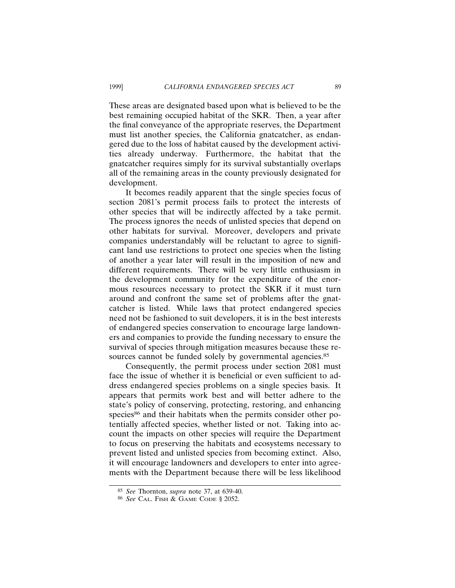These areas are designated based upon what is believed to be the best remaining occupied habitat of the SKR. Then, a year after the final conveyance of the appropriate reserves, the Department must list another species, the California gnatcatcher, as endangered due to the loss of habitat caused by the development activities already underway. Furthermore, the habitat that the gnatcatcher requires simply for its survival substantially overlaps all of the remaining areas in the county previously designated for development.

It becomes readily apparent that the single species focus of section 2081's permit process fails to protect the interests of other species that will be indirectly affected by a take permit. The process ignores the needs of unlisted species that depend on other habitats for survival. Moreover, developers and private companies understandably will be reluctant to agree to significant land use restrictions to protect one species when the listing of another a year later will result in the imposition of new and different requirements. There will be very little enthusiasm in the development community for the expenditure of the enormous resources necessary to protect the SKR if it must turn around and confront the same set of problems after the gnatcatcher is listed. While laws that protect endangered species need not be fashioned to suit developers, it is in the best interests of endangered species conservation to encourage large landowners and companies to provide the funding necessary to ensure the survival of species through mitigation measures because these resources cannot be funded solely by governmental agencies.<sup>85</sup>

Consequently, the permit process under section 2081 must face the issue of whether it is beneficial or even sufficient to address endangered species problems on a single species basis. It appears that permits work best and will better adhere to the state's policy of conserving, protecting, restoring, and enhancing species<sup>86</sup> and their habitats when the permits consider other potentially affected species, whether listed or not. Taking into account the impacts on other species will require the Department to focus on preserving the habitats and ecosystems necessary to prevent listed and unlisted species from becoming extinct. Also, it will encourage landowners and developers to enter into agreements with the Department because there will be less likelihood

<sup>85</sup> *See* Thornton, *supra* note 37, at 639-40.

<sup>86</sup> *See* CAL. FISH & GAME CODE § 2052.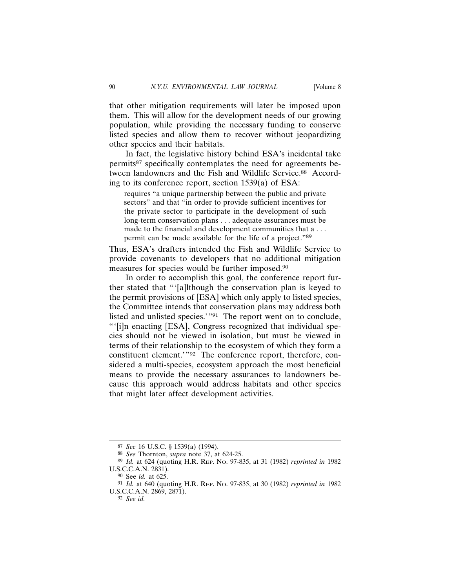that other mitigation requirements will later be imposed upon them. This will allow for the development needs of our growing population, while providing the necessary funding to conserve listed species and allow them to recover without jeopardizing other species and their habitats.

In fact, the legislative history behind ESA's incidental take permits87 specifically contemplates the need for agreements between landowners and the Fish and Wildlife Service.<sup>88</sup> According to its conference report, section 1539(a) of ESA:

requires "a unique partnership between the public and private sectors" and that "in order to provide sufficient incentives for the private sector to participate in the development of such long-term conservation plans . . . adequate assurances must be made to the financial and development communities that a . . . permit can be made available for the life of a project."89

Thus, ESA's drafters intended the Fish and Wildlife Service to provide covenants to developers that no additional mitigation measures for species would be further imposed.90

In order to accomplish this goal, the conference report further stated that "'[a]lthough the conservation plan is keyed to the permit provisions of [ESA] which only apply to listed species, the Committee intends that conservation plans may address both listed and unlisted species.'"91 The report went on to conclude, "'[i]n enacting [ESA], Congress recognized that individual species should not be viewed in isolation, but must be viewed in terms of their relationship to the ecosystem of which they form a constituent element.'"92 The conference report, therefore, considered a multi-species, ecosystem approach the most beneficial means to provide the necessary assurances to landowners because this approach would address habitats and other species that might later affect development activities.

<sup>87</sup> *See* 16 U.S.C. § 1539(a) (1994).

<sup>88</sup> *See* Thornton, *supra* note 37, at 624-25.

<sup>89</sup> *Id.* at 624 (quoting H.R. REP. NO. 97-835, at 31 (1982) *reprinted in* 1982 U.S.C.C.A.N. 2831).

<sup>90</sup> See *id.* at 625.

<sup>91</sup> *Id.* at 640 (quoting H.R. REP. NO. 97-835, at 30 (1982) *reprinted in* 1982 U.S.C.C.A.N. 2869, 2871).

<sup>92</sup> *See id.*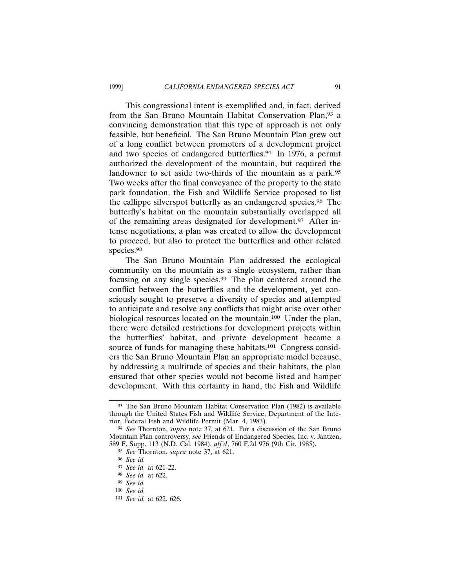This congressional intent is exemplified and, in fact, derived from the San Bruno Mountain Habitat Conservation Plan,<sup>93</sup> a convincing demonstration that this type of approach is not only feasible, but beneficial. The San Bruno Mountain Plan grew out of a long conflict between promoters of a development project and two species of endangered butterflies.94 In 1976, a permit authorized the development of the mountain, but required the landowner to set aside two-thirds of the mountain as a park.<sup>95</sup> Two weeks after the final conveyance of the property to the state park foundation, the Fish and Wildlife Service proposed to list the callippe silverspot butterfly as an endangered species.96 The butterfly's habitat on the mountain substantially overlapped all of the remaining areas designated for development.97 After intense negotiations, a plan was created to allow the development to proceed, but also to protect the butterflies and other related species.<sup>98</sup>

The San Bruno Mountain Plan addressed the ecological community on the mountain as a single ecosystem, rather than focusing on any single species.99 The plan centered around the conflict between the butterflies and the development, yet consciously sought to preserve a diversity of species and attempted to anticipate and resolve any conflicts that might arise over other biological resources located on the mountain.100 Under the plan, there were detailed restrictions for development projects within the butterflies' habitat, and private development became a source of funds for managing these habitats.<sup>101</sup> Congress considers the San Bruno Mountain Plan an appropriate model because, by addressing a multitude of species and their habitats, the plan ensured that other species would not become listed and hamper development. With this certainty in hand, the Fish and Wildlife

<sup>93</sup> The San Bruno Mountain Habitat Conservation Plan (1982) is available through the United States Fish and Wildlife Service, Department of the Interior, Federal Fish and Wildlife Permit (Mar. 4, 1983).

<sup>94</sup> *See* Thornton, *supra* note 37, at 621. For a discussion of the San Bruno Mountain Plan controversy, *see* Friends of Endangered Species, Inc. v. Jantzen, 589 F. Supp. 113 (N.D. Cal. 1984), *aff'd*, 760 F.2d 976 (9th Cir. 1985).

<sup>95</sup> *See* Thornton, *supra* note 37, at 621.

<sup>96</sup> *See id.*

<sup>97</sup> *See id.* at 621-22.

<sup>98</sup> *See id.* at 622.

<sup>99</sup> *See id.*

<sup>100</sup> *See id.*

<sup>101</sup> *See id.* at 622, 626.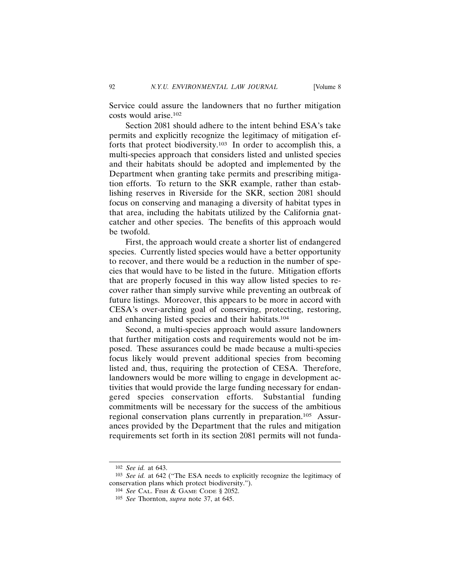Service could assure the landowners that no further mitigation costs would arise.102

Section 2081 should adhere to the intent behind ESA's take permits and explicitly recognize the legitimacy of mitigation efforts that protect biodiversity.103 In order to accomplish this, a multi-species approach that considers listed and unlisted species and their habitats should be adopted and implemented by the Department when granting take permits and prescribing mitigation efforts. To return to the SKR example, rather than establishing reserves in Riverside for the SKR, section 2081 should focus on conserving and managing a diversity of habitat types in that area, including the habitats utilized by the California gnatcatcher and other species. The benefits of this approach would be twofold.

First, the approach would create a shorter list of endangered species. Currently listed species would have a better opportunity to recover, and there would be a reduction in the number of species that would have to be listed in the future. Mitigation efforts that are properly focused in this way allow listed species to recover rather than simply survive while preventing an outbreak of future listings. Moreover, this appears to be more in accord with CESA's over-arching goal of conserving, protecting, restoring, and enhancing listed species and their habitats.104

Second, a multi-species approach would assure landowners that further mitigation costs and requirements would not be imposed. These assurances could be made because a multi-species focus likely would prevent additional species from becoming listed and, thus, requiring the protection of CESA. Therefore, landowners would be more willing to engage in development activities that would provide the large funding necessary for endangered species conservation efforts. Substantial funding commitments will be necessary for the success of the ambitious regional conservation plans currently in preparation.105 Assurances provided by the Department that the rules and mitigation requirements set forth in its section 2081 permits will not funda-

<sup>102</sup> *See id.* at 643.

<sup>103</sup> *See id.* at 642 ("The ESA needs to explicitly recognize the legitimacy of conservation plans which protect biodiversity.").

<sup>104</sup> *See* CAL. FISH & GAME CODE § 2052.

<sup>105</sup> *See* Thornton, *supra* note 37, at 645.